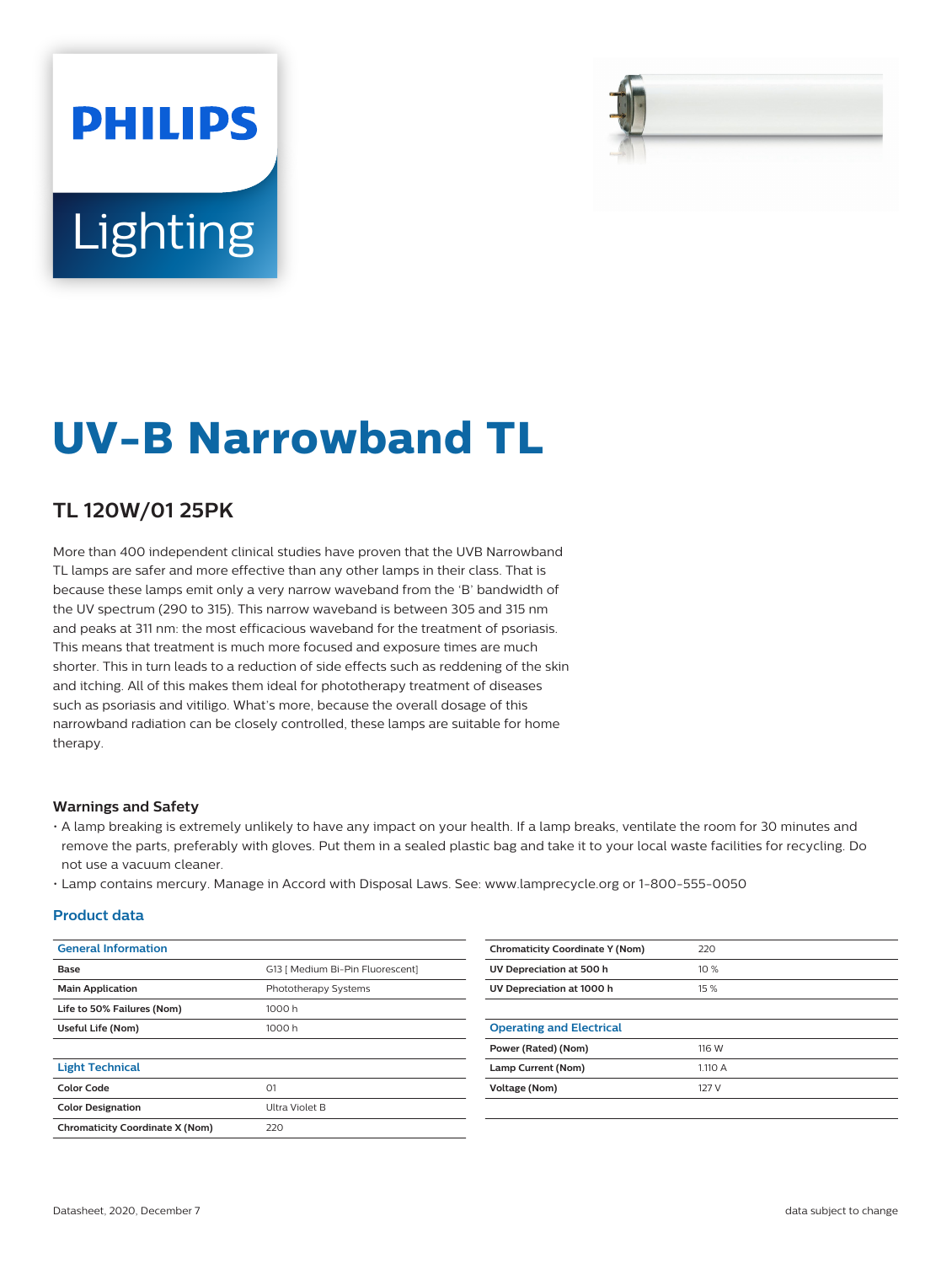# **PHILIPS Lighting**



## **UV-B Narrowband TL**

#### **TL 120W/01 25PK**

More than 400 independent clinical studies have proven that the UVB Narrowband TL lamps are safer and more effective than any other lamps in their class. That is because these lamps emit only a very narrow waveband from the 'B' bandwidth of the UV spectrum (290 to 315). This narrow waveband is between 305 and 315 nm and peaks at 311 nm: the most efficacious waveband for the treatment of psoriasis. This means that treatment is much more focused and exposure times are much shorter. This in turn leads to a reduction of side effects such as reddening of the skin and itching. All of this makes them ideal for phototherapy treatment of diseases such as psoriasis and vitiligo. What's more, because the overall dosage of this narrowband radiation can be closely controlled, these lamps are suitable for home therapy.

#### **Warnings and Safety**

- A lamp breaking is extremely unlikely to have any impact on your health. If a lamp breaks, ventilate the room for 30 minutes and remove the parts, preferably with gloves. Put them in a sealed plastic bag and take it to your local waste facilities for recycling. Do not use a vacuum cleaner.
- Lamp contains mercury. Manage in Accord with Disposal Laws. See: www.lamprecycle.org or 1-800-555-0050

#### **Product data**

| <b>General Information</b>             |                                  | <b>Chromaticity Coordinate Y (Nom)</b> | 220     |
|----------------------------------------|----------------------------------|----------------------------------------|---------|
| Base                                   | G13   Medium Bi-Pin Fluorescent] | UV Depreciation at 500 h               | 10 %    |
| <b>Main Application</b>                | Phototherapy Systems             | UV Depreciation at 1000 h              | 15 %    |
| Life to 50% Failures (Nom)             | 1000 h                           |                                        |         |
| Useful Life (Nom)                      | 1000 h                           | <b>Operating and Electrical</b>        |         |
|                                        |                                  | Power (Rated) (Nom)                    | 116 W   |
| <b>Light Technical</b>                 |                                  | Lamp Current (Nom)                     | 1.110 A |
| <b>Color Code</b>                      | O <sub>1</sub>                   | <b>Voltage (Nom)</b>                   | 127 V   |
| <b>Color Designation</b>               | Ultra Violet B                   |                                        |         |
| <b>Chromaticity Coordinate X (Nom)</b> | 220                              |                                        |         |
|                                        |                                  |                                        |         |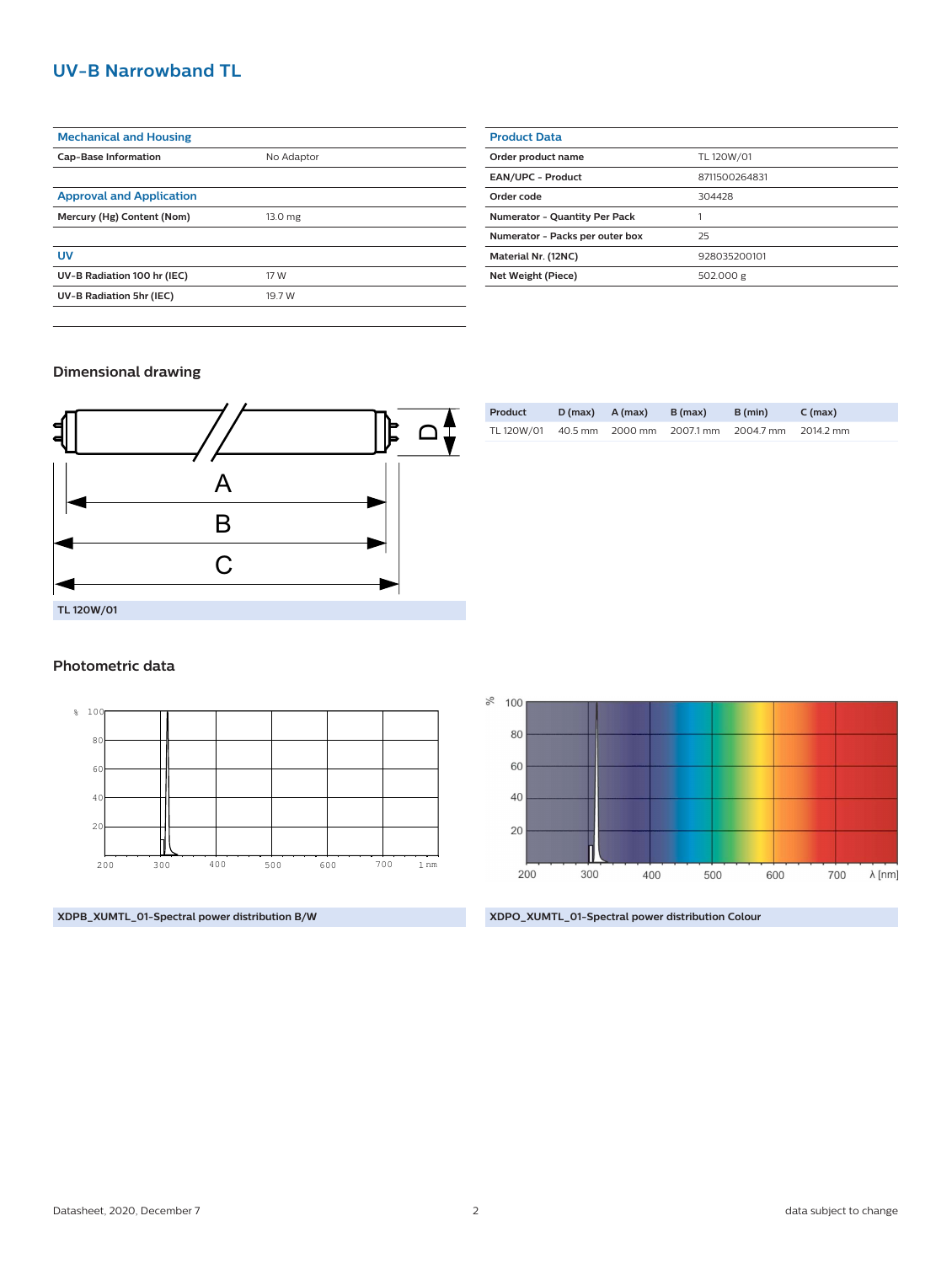#### **UV-B Narrowband TL**

| <b>Mechanical and Housing</b>   |            |  |  |  |
|---------------------------------|------------|--|--|--|
| <b>Cap-Base Information</b>     | No Adaptor |  |  |  |
|                                 |            |  |  |  |
| <b>Approval and Application</b> |            |  |  |  |
| Mercury (Hg) Content (Nom)      | 13.0 mg    |  |  |  |
|                                 |            |  |  |  |
| UV                              |            |  |  |  |
| UV-B Radiation 100 hr (IEC)     | 17 W       |  |  |  |
| UV-B Radiation 5hr (IEC)        | 19.7 W     |  |  |  |
|                                 |            |  |  |  |

| <b>Product Data</b>                  |               |
|--------------------------------------|---------------|
| Order product name                   | TL 120W/01    |
| <b>EAN/UPC - Product</b>             | 8711500264831 |
| Order code                           | 304428        |
| <b>Numerator - Quantity Per Pack</b> |               |
| Numerator - Packs per outer box      | 25            |
| Material Nr. (12NC)                  | 928035200101  |
| Net Weight (Piece)                   | 502.000 g     |

#### **Dimensional drawing**



### TL 120W/01 40.5 mm 2000 mm 2007.1 mm 2004.7 mm 2014.2 mm

**Product D (max) A (max) B (max) B (min) C (max)**

#### **Photometric data**